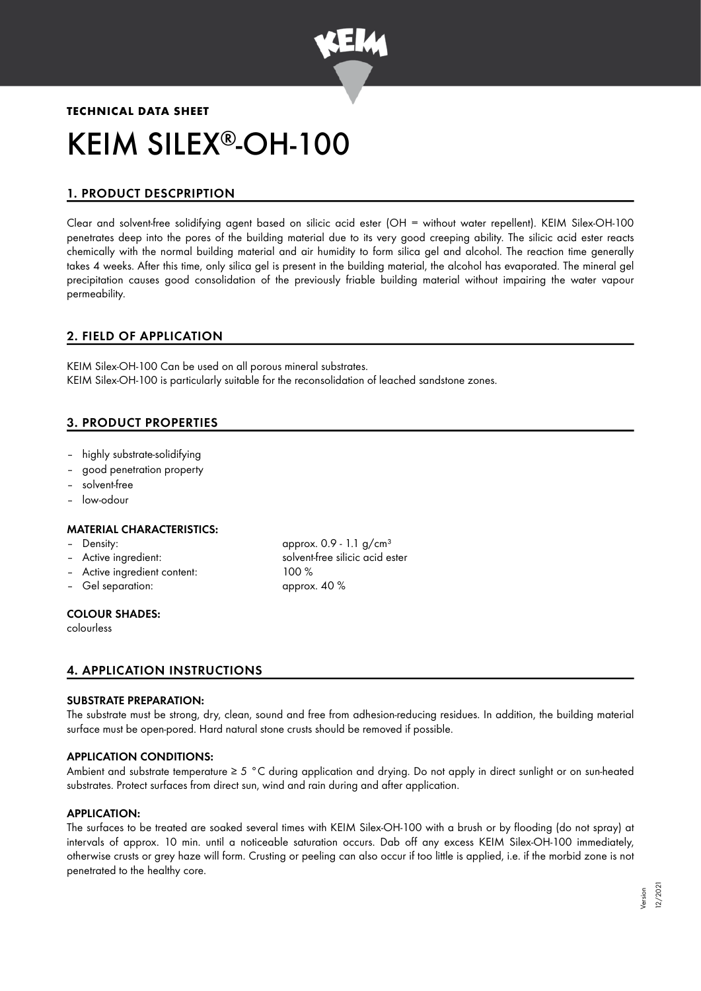

# **TECHNICAL DATA SHEET** KEIM SILEX<sup>®</sup>-OH-100

# 1. PRODUCT DESCPRIPTION

Clear and solvent-free solidifying agent based on silicic acid ester (OH = without water repellent). KEIM Silex-OH-100 penetrates deep into the pores of the building material due to its very good creeping ability. The silicic acid ester reacts chemically with the normal building material and air humidity to form silica gel and alcohol. The reaction time generally takes 4 weeks. After this time, only silica gel is present in the building material, the alcohol has evaporated. The mineral gel precipitation causes good consolidation of the previously friable building material without impairing the water vapour permeability.

# 2. FIELD OF APPLICATION

KEIM Silex-OH-100 Can be used on all porous mineral substrates. KEIM Silex-OH-100 is particularly suitable for the reconsolidation of leached sandstone zones.

# 3. PRODUCT PROPERTIES

- highly substrate-solidifying
- good penetration property
- solvent-free
- low-odour

#### MATERIAL CHARACTERISTICS:

- 
- 
- Active ingredient content: 100 %
- Gel separation: approx. 40 %

– Density: approx. 0.9 - 1.1 g/cm<sup>3</sup> Active ingredient: solvent-free silicic acid ester

#### COLOUR SHADES:

colourless

# 4. APPLICATION INSTRUCTIONS

#### SUBSTRATE PREPARATION:

The substrate must be strong, dry, clean, sound and free from adhesion-reducing residues. In addition, the building material surface must be open-pored. Hard natural stone crusts should be removed if possible.

#### APPLICATION CONDITIONS:

Ambient and substrate temperature ≥ 5 °C during application and drying. Do not apply in direct sunlight or on sun-heated substrates. Protect surfaces from direct sun, wind and rain during and after application.

#### APPLICATION:

The surfaces to be treated are soaked several times with KEIM Silex-OH-100 with a brush or by flooding (do not spray) at intervals of approx. 10 min. until a noticeable saturation occurs. Dab off any excess KEIM Silex-OH-100 immediately, otherwise crusts or grey haze will form. Crusting or peeling can also occur if too little is applied, i.e. if the morbid zone is not penetrated to the healthy core.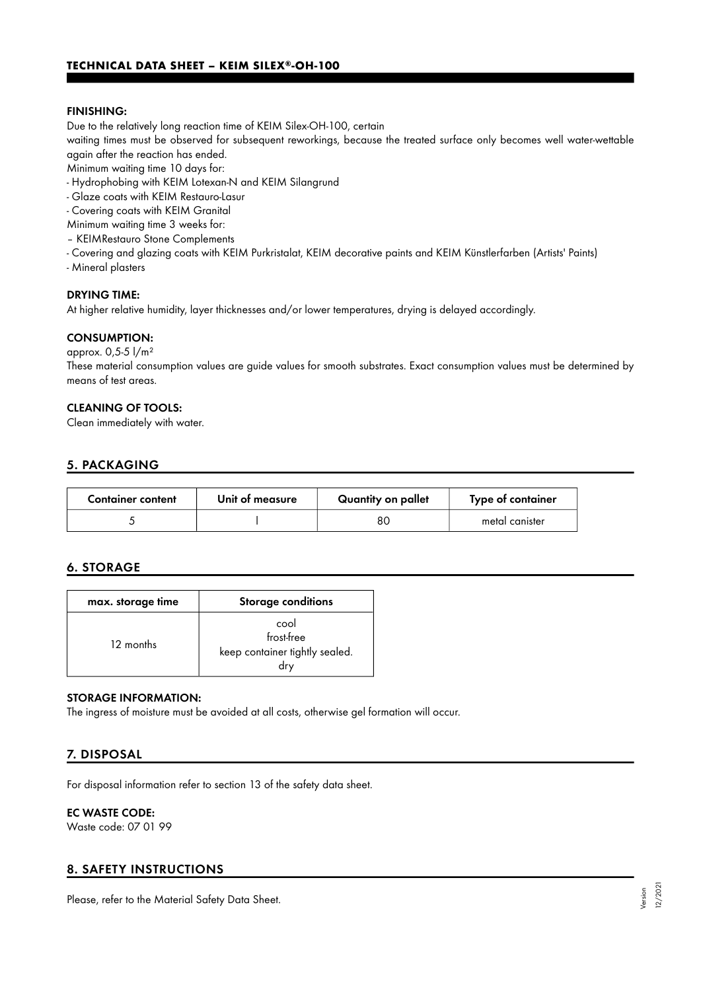#### FINISHING:

Due to the relatively long reaction time of KEIM Silex-OH-100, certain

waiting times must be observed for subsequent reworkings, because the treated surface only becomes well water-wettable again after the reaction has ended.

Minimum waiting time 10 days for:

- Hydrophobing with KEIM Lotexan-N and KEIM Silangrund
- Glaze coats with KEIM Restauro-Lasur
- Covering coats with KEIM Granital
- Minimum waiting time 3 weeks for:
- KEIMRestauro Stone Complements
- Covering and glazing coats with KEIM Purkristalat, KEIM decorative paints and KEIM Künstlerfarben (Artists' Paints)
- Mineral plasters

#### DRYING TIME:

At higher relative humidity, layer thicknesses and/or lower temperatures, drying is delayed accordingly.

#### CONSUMPTION:

approx. 0,5-5 l/m² These material consumption values are guide values for smooth substrates. Exact consumption values must be determined by means of test areas.

#### CLEANING OF TOOLS:

Clean immediately with water.

# 5. PACKAGING

| <b>Container content</b> | Unit of measure | Quantity on pallet | Type of container |
|--------------------------|-----------------|--------------------|-------------------|
|                          |                 | 80                 | metal canister    |

#### 6. STORAGE

| max. storage time | <b>Storage conditions</b>                            |  |
|-------------------|------------------------------------------------------|--|
| 12 months         | cool<br>frost-free<br>keep container tightly sealed. |  |

#### STORAGE INFORMATION:

The ingress of moisture must be avoided at all costs, otherwise gel formation will occur.

# 7. DISPOSAL

For disposal information refer to section 13 of the safety data sheet.

# EC WASTE CODE:

Waste code: 07 01 99

# 8. SAFETY INSTRUCTIONS

Please, refer to the Material Safety Data Sheet.